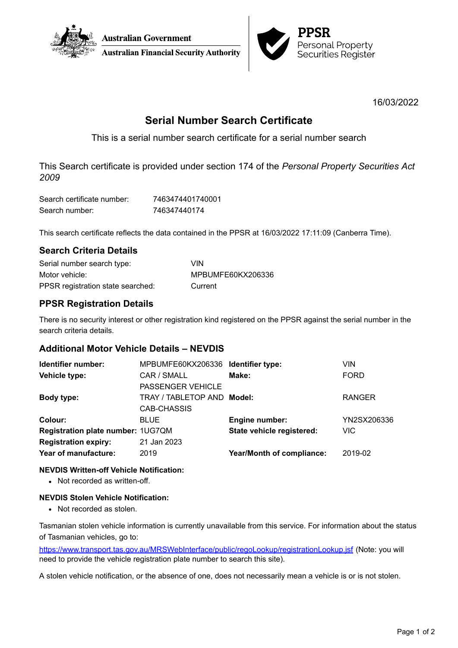



16/03/2022

# **Serial Number Search Certificate**

This is a serial number search certificate for a serial number search

This Search certificate is provided under section 174 of the *Personal Property Securities Act 2009*

| Search certificate number: | 7463474401740001 |
|----------------------------|------------------|
| Search number:             | 746347440174     |

This search certificate reflects the data contained in the PPSR at 16/03/2022 17:11:09 (Canberra Time).

# **Search Criteria Details**

| Serial number search type:        | <b>VIN</b>        |
|-----------------------------------|-------------------|
| Motor vehicle:                    | MPBUMFE60KX206336 |
| PPSR registration state searched: | Current           |

# **PPSR Registration Details**

There is no security interest or other registration kind registered on the PPSR against the serial number in the search criteria details.

## **Additional Motor Vehicle Details – NEVDIS**

| Identifier number:                | MPBUMFE60KX206336 Identifier type: |                                  | VIN           |
|-----------------------------------|------------------------------------|----------------------------------|---------------|
| Vehicle type:                     | CAR / SMALL                        | Make:                            | <b>FORD</b>   |
|                                   | PASSENGER VEHICLE                  |                                  |               |
| Body type:                        | TRAY / TABLETOP AND Model:         |                                  | <b>RANGER</b> |
|                                   | CAB-CHASSIS                        |                                  |               |
| Colour:                           | <b>BLUE</b>                        | <b>Engine number:</b>            | YN2SX206336   |
| Registration plate number: 1UG7QM |                                    | State vehicle registered:        | <b>VIC</b>    |
| <b>Registration expiry:</b>       | 21 Jan 2023                        |                                  |               |
| Year of manufacture:              | 2019                               | <b>Year/Month of compliance:</b> | 2019-02       |
|                                   |                                    |                                  |               |

### **NEVDIS Written-off Vehicle Notification:**

• Not recorded as written-off.

### **NEVDIS Stolen Vehicle Notification:**

• Not recorded as stolen.

Tasmanian stolen vehicle information is currently unavailable from this service. For information about the status of Tasmanian vehicles, go to:

<https://www.transport.tas.gov.au/MRSWebInterface/public/regoLookup/registrationLookup.jsf> (Note: you will need to provide the vehicle registration plate number to search this site).

A stolen vehicle notification, or the absence of one, does not necessarily mean a vehicle is or is not stolen.